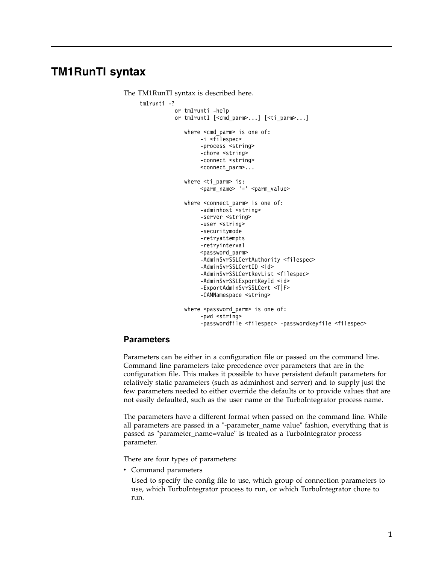# **TM1RunTI syntax**

```
The TM1RunTI syntax is described here.
tm1runti -?
           or tm1runti -help
           or tm1runt1 [<cmd parm>...] [<ti parm>...]
              where <cmd parm> is one of:
                   -i <filespec>
                   -process <string>
                   -chore <string>
                   -connect <string>
                   <connect_parm>...
              where <ti parm> is:
                   \epsilon <parm_name> '=' <parm_value>
              where <connect_parm> is one of:
                   -adminhost <string>
                   -server <string>
                   -user <string>
                   -securitymode
                   -retryattempts
                   -retryinterval
                   <password_parm>
                   -AdminSvrSSLCertAuthority <filespec>
                   -AdminSvrSSLCertID <id>
                   -AdminSvrSSLCertRevList <filespec>
                   -AdminSvrSSLExportKeyId <id>
                   -ExportAdminSvrSSLCert <T|F>
                   -CAMNamespace <string>
              where <password parm> is one of:
                   -pwd <string>
                   -passwordfile <filespec> -passwordkeyfile <filespec>
```
#### **Parameters**

Parameters can be either in a configuration file or passed on the command line. Command line parameters take precedence over parameters that are in the configuration file. This makes it possible to have persistent default parameters for relatively static parameters (such as adminhost and server) and to supply just the few parameters needed to either override the defaults or to provide values that are not easily defaulted, such as the user name or the TurboIntegrator process name.

The parameters have a different format when passed on the command line. While all parameters are passed in a "-parameter\_name value" fashion, everything that is passed as "parameter\_name=value" is treated as a TurboIntegrator process parameter.

There are four types of parameters:

• Command parameters

Used to specify the config file to use, which group of connection parameters to use, which TurboIntegrator process to run, or which TurboIntegrator chore to run.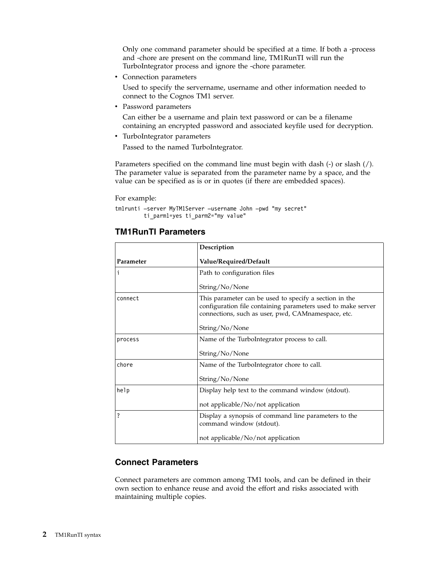Only one command parameter should be specified at a time. If both a -process and -chore are present on the command line, TM1RunTI will run the TurboIntegrator process and ignore the -chore parameter.

• Connection parameters

Used to specify the servername, username and other information needed to connect to the Cognos TM1 server.

• Password parameters

Can either be a username and plain text password or can be a filename containing an encrypted password and associated keyfile used for decryption.

• TurboIntegrator parameters

Passed to the named TurboIntegrator.

Parameters specified on the command line must begin with dash (-) or slash (/). The parameter value is separated from the parameter name by a space, and the value can be specified as is or in quotes (if there are embedded spaces).

For example:

```
tm1runti –server MyTM1Server –username John –pwd "my secret"
   ti parm1=yes ti parm2="my value"
```
## **TM1RunTI Parameters**

|           | Description<br>Value/Required/Default                                                                                                                                        |  |
|-----------|------------------------------------------------------------------------------------------------------------------------------------------------------------------------------|--|
| Parameter |                                                                                                                                                                              |  |
| h         | Path to configuration files                                                                                                                                                  |  |
|           | String/No/None                                                                                                                                                               |  |
| connect   | This parameter can be used to specify a section in the<br>configuration file containing parameters used to make server<br>connections, such as user, pwd, CAMnamespace, etc. |  |
|           | String/No/None                                                                                                                                                               |  |
| process   | Name of the TurboIntegrator process to call.                                                                                                                                 |  |
|           | String/No/None                                                                                                                                                               |  |
| chore     | Name of the TurboIntegrator chore to call.                                                                                                                                   |  |
|           | String/No/None                                                                                                                                                               |  |
| help      | Display help text to the command window (stdout).                                                                                                                            |  |
|           | not applicable/No/not application                                                                                                                                            |  |
| ?         | Display a synopsis of command line parameters to the<br>command window (stdout).                                                                                             |  |
|           | not applicable/No/not application                                                                                                                                            |  |

### **Connect Parameters**

Connect parameters are common among TM1 tools, and can be defined in their own section to enhance reuse and avoid the effort and risks associated with maintaining multiple copies.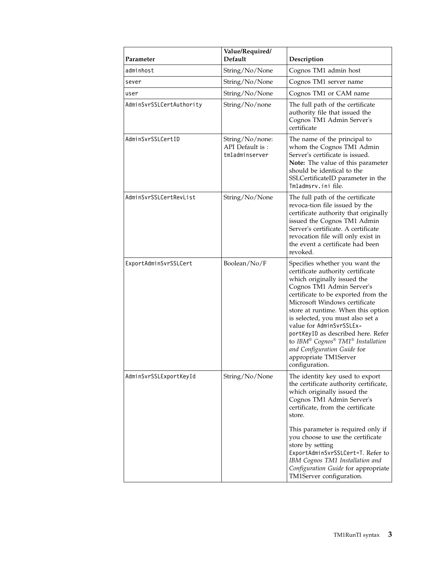| Parameter                | Value/Required/<br>Default                           | Description                                                                                                                                                                                                                                                                                                                                                                                                                                                        |
|--------------------------|------------------------------------------------------|--------------------------------------------------------------------------------------------------------------------------------------------------------------------------------------------------------------------------------------------------------------------------------------------------------------------------------------------------------------------------------------------------------------------------------------------------------------------|
| adminhost                | String/No/None                                       | Cognos TM1 admin host                                                                                                                                                                                                                                                                                                                                                                                                                                              |
| sever                    | String/No/None                                       | Cognos TM1 server name                                                                                                                                                                                                                                                                                                                                                                                                                                             |
| user                     | String/No/None                                       | Cognos TM1 or CAM name                                                                                                                                                                                                                                                                                                                                                                                                                                             |
| AdminSvrSSLCertAuthority | String/No/none                                       | The full path of the certificate<br>authority file that issued the<br>Cognos TM1 Admin Server's<br>certificate                                                                                                                                                                                                                                                                                                                                                     |
| AdminSvrSSLCertID        | String/No/none:<br>API Default is:<br>tmladminserver | The name of the principal to<br>whom the Cognos TM1 Admin<br>Server's certificate is issued.<br>Note: The value of this parameter<br>should be identical to the<br>SSLCertificateID parameter in the<br>Tmladmsrv.ini file.                                                                                                                                                                                                                                        |
| AdminSvrSSLCertRevList   | String/No/None                                       | The full path of the certificate<br>revoca-tion file issued by the<br>certificate authority that originally<br>issued the Cognos TM1 Admin<br>Server's certificate. A certificate<br>revocation file will only exist in<br>the event a certificate had been<br>revoked.                                                                                                                                                                                            |
| ExportAdminSvrSSLCert    | Boolean/No/F                                         | Specifies whether you want the<br>certificate authority certificate<br>which originally issued the<br>Cognos TM1 Admin Server's<br>certificate to be exported from the<br>Microsoft Windows certificate<br>store at runtime. When this option<br>is selected, you must also set a<br>value for AdminSvrSSLEx-<br>portKeyID as described here. Refer<br>to IBM® Cognos® TM1® Installation<br>and Configuration Guide for<br>appropriate TM1Server<br>configuration. |
| AdminSvrSSLExportKeyId   | String/No/None                                       | The identity key used to export<br>the certificate authority certificate,<br>which originally issued the<br>Cognos TM1 Admin Server's<br>certificate, from the certificate<br>store.<br>This parameter is required only if<br>you choose to use the certificate<br>store by setting<br>ExportAdminSvrSSLCert=T. Refer to<br>IBM Cognos TM1 Installation and<br>Configuration Guide for appropriate                                                                 |